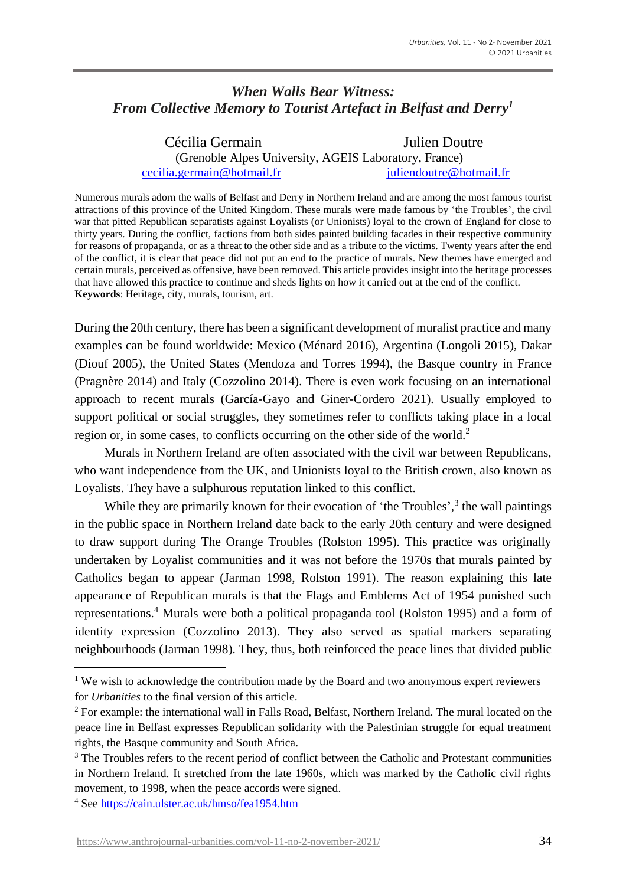# *When Walls Bear Witness: From Collective Memory to Tourist Artefact in Belfast and Derry<sup>1</sup>*

## Cécilia Germain Julien Doutre (Grenoble Alpes University, AGEIS Laboratory, France) [cecilia.germain@hotmail.fr](mailto:cecilia.germain@hotmail.fr) [juliendoutre@hotmail.fr](mailto:juliendoutre@hotmail.fr)

Numerous murals adorn the walls of Belfast and Derry in Northern Ireland and are among the most famous tourist attractions of this province of the United Kingdom. These murals were made famous by 'the Troubles', the civil war that pitted Republican separatists against Loyalists (or Unionists) loyal to the crown of England for close to thirty years. During the conflict, factions from both sides painted building facades in their respective community for reasons of propaganda, or as a threat to the other side and as a tribute to the victims. Twenty years after the end of the conflict, it is clear that peace did not put an end to the practice of murals. New themes have emerged and certain murals, perceived as offensive, have been removed. This article provides insight into the heritage processes that have allowed this practice to continue and sheds lights on how it carried out at the end of the conflict. **Keywords**: Heritage, city, murals, tourism, art.

During the 20th century, there has been a significant development of muralist practice and many examples can be found worldwide: Mexico (Ménard 2016), Argentina (Longoli 2015), Dakar (Diouf 2005), the United States (Mendoza and Torres 1994), the Basque country in France (Pragnère 2014) and Italy (Cozzolino 2014). There is even work focusing on an international approach to recent murals (García-Gayo and Giner-Cordero 2021). Usually employed to support political or social struggles, they sometimes refer to conflicts taking place in a local region or, in some cases, to conflicts occurring on the other side of the world.<sup>2</sup>

Murals in Northern Ireland are often associated with the civil war between Republicans, who want independence from the UK, and Unionists loyal to the British crown, also known as Loyalists. They have a sulphurous reputation linked to this conflict.

While they are primarily known for their evocation of 'the Troubles',<sup>3</sup> the wall paintings in the public space in Northern Ireland date back to the early 20th century and were designed to draw support during The Orange Troubles (Rolston 1995). This practice was originally undertaken by Loyalist communities and it was not before the 1970s that murals painted by Catholics began to appear (Jarman 1998, Rolston 1991). The reason explaining this late appearance of Republican murals is that the Flags and Emblems Act of 1954 punished such representations.<sup>4</sup> Murals were both a political propaganda tool (Rolston 1995) and a form of identity expression (Cozzolino 2013). They also served as spatial markers separating neighbourhoods (Jarman 1998). They, thus, both reinforced the peace lines that divided public

 $<sup>1</sup>$  We wish to acknowledge the contribution made by the Board and two anonymous expert reviewers</sup> for *Urbanities* to the final version of this article.

<sup>&</sup>lt;sup>2</sup> For example: the international wall in Falls Road, Belfast, Northern Ireland. The mural located on the peace line in Belfast expresses Republican solidarity with the Palestinian struggle for equal treatment rights, the Basque community and South Africa.

<sup>&</sup>lt;sup>3</sup> The Troubles refers to the recent period of conflict between the Catholic and Protestant communities in Northern Ireland. It stretched from the late 1960s, which was marked by the Catholic civil rights movement, to 1998, when the peace accords were signed.

<sup>&</sup>lt;sup>4</sup> See<https://cain.ulster.ac.uk/hmso/fea1954.htm>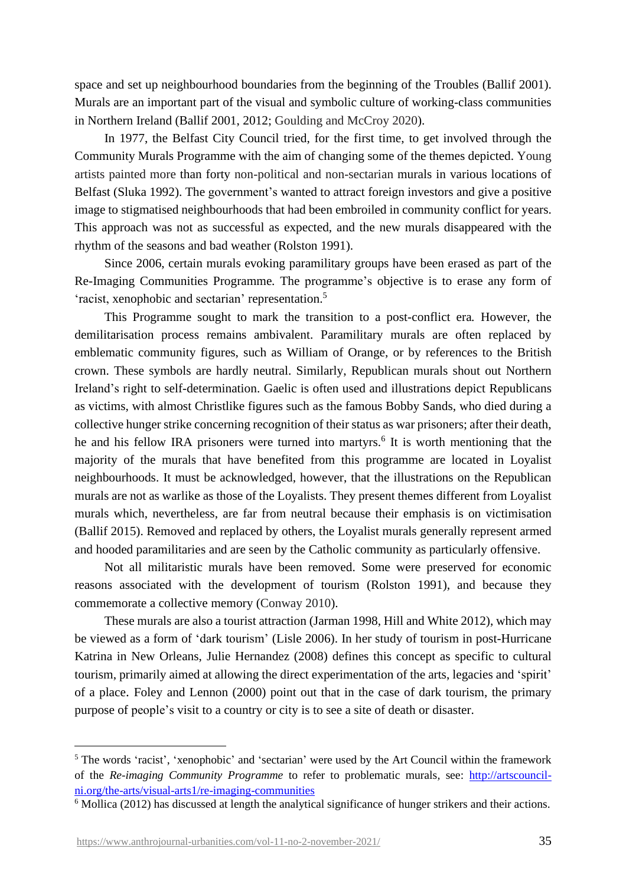space and set up neighbourhood boundaries from the beginning of the Troubles (Ballif 2001). Murals are an important part of the visual and symbolic culture of working-class communities in Northern Ireland (Ballif 2001, 2012; Goulding and McCroy 2020).

In 1977, the Belfast City Council tried, for the first time, to get involved through the Community Murals Programme with the aim of changing some of the themes depicted. Young artists painted more than forty non-political and non-sectarian murals in various locations of Belfast (Sluka 1992). The government's wanted to attract foreign investors and give a positive image to stigmatised neighbourhoods that had been embroiled in community conflict for years. This approach was not as successful as expected, and the new murals disappeared with the rhythm of the seasons and bad weather (Rolston 1991).

Since 2006, certain murals evoking paramilitary groups have been erased as part of the Re-Imaging Communities Programme*.* The programme's objective is to erase any form of 'racist, xenophobic and sectarian' representation.<sup>5</sup>

This Programme sought to mark the transition to a post-conflict era*.* However, the demilitarisation process remains ambivalent. Paramilitary murals are often replaced by emblematic community figures, such as William of Orange, or by references to the British crown. These symbols are hardly neutral. Similarly, Republican murals shout out Northern Ireland's right to self-determination. Gaelic is often used and illustrations depict Republicans as victims, with almost Christlike figures such as the famous Bobby Sands, who died during a collective hunger strike concerning recognition of their status as war prisoners; after their death, he and his fellow IRA prisoners were turned into martyrs.<sup>6</sup> It is worth mentioning that the majority of the murals that have benefited from this programme are located in Loyalist neighbourhoods. It must be acknowledged, however, that the illustrations on the Republican murals are not as warlike as those of the Loyalists. They present themes different from Loyalist murals which, nevertheless, are far from neutral because their emphasis is on victimisation (Ballif 2015). Removed and replaced by others, the Loyalist murals generally represent armed and hooded paramilitaries and are seen by the Catholic community as particularly offensive.

Not all militaristic murals have been removed. Some were preserved for economic reasons associated with the development of tourism (Rolston 1991), and because they commemorate a collective memory (Conway 2010).

These murals are also a tourist attraction (Jarman 1998, Hill and White 2012), which may be viewed as a form of 'dark tourism' (Lisle 2006). In her study of tourism in post-Hurricane Katrina in New Orleans, Julie Hernandez (2008) defines this concept as specific to cultural tourism, primarily aimed at allowing the direct experimentation of the arts, legacies and 'spirit' of a place. Foley and Lennon (2000) point out that in the case of dark tourism, the primary purpose of people's visit to a country or city is to see a site of death or disaster.

<sup>&</sup>lt;sup>5</sup> The words 'racist', 'xenophobic' and 'sectarian' were used by the Art Council within the framework of the *Re-imaging Community Programme* to refer to problematic murals*,* see: [http://artscouncil](http://artscouncil-ni.org/the-arts/visual-arts1/re-imaging-communities)[ni.org/the-arts/visual-arts1/re-imaging-communities](http://artscouncil-ni.org/the-arts/visual-arts1/re-imaging-communities)

<sup>&</sup>lt;sup>6</sup> Mollica (2012) has discussed at length the analytical significance of hunger strikers and their actions.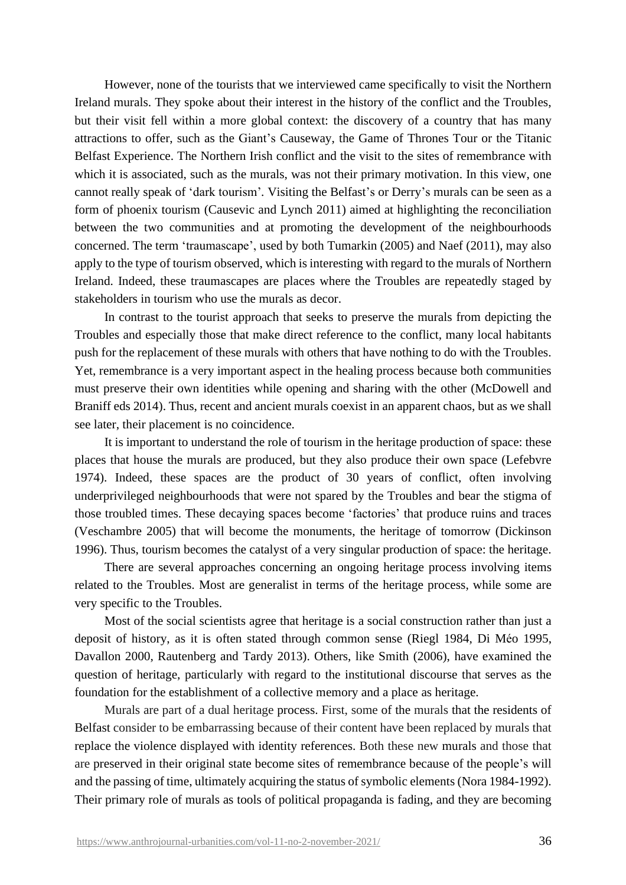However, none of the tourists that we interviewed came specifically to visit the Northern Ireland murals. They spoke about their interest in the history of the conflict and the Troubles, but their visit fell within a more global context: the discovery of a country that has many attractions to offer, such as the Giant's Causeway, the Game of Thrones Tour or the Titanic Belfast Experience. The Northern Irish conflict and the visit to the sites of remembrance with which it is associated, such as the murals, was not their primary motivation. In this view, one cannot really speak of 'dark tourism'*.* Visiting the Belfast's or Derry's murals can be seen as a form of phoenix tourism (Causevic and Lynch 2011) aimed at highlighting the reconciliation between the two communities and at promoting the development of the neighbourhoods concerned. The term 'traumascape', used by both Tumarkin (2005) and Naef (2011), may also apply to the type of tourism observed, which is interesting with regard to the murals of Northern Ireland. Indeed, these traumascapes are places where the Troubles are repeatedly staged by stakeholders in tourism who use the murals as decor.

In contrast to the tourist approach that seeks to preserve the murals from depicting the Troubles and especially those that make direct reference to the conflict, many local habitants push for the replacement of these murals with others that have nothing to do with the Troubles. Yet, remembrance is a very important aspect in the healing process because both communities must preserve their own identities while opening and sharing with the other (McDowell and Braniff eds 2014). Thus, recent and ancient murals coexist in an apparent chaos, but as we shall see later, their placement is no coincidence.

It is important to understand the role of tourism in the heritage production of space: these places that house the murals are produced, but they also produce their own space (Lefebvre 1974). Indeed, these spaces are the product of 30 years of conflict, often involving underprivileged neighbourhoods that were not spared by the Troubles and bear the stigma of those troubled times. These decaying spaces become 'factories' that produce ruins and traces (Veschambre 2005) that will become the monuments, the heritage of tomorrow (Dickinson 1996). Thus, tourism becomes the catalyst of a very singular production of space: the heritage.

There are several approaches concerning an ongoing heritage process involving items related to the Troubles. Most are generalist in terms of the heritage process, while some are very specific to the Troubles.

Most of the social scientists agree that heritage is a social construction rather than just a deposit of history, as it is often stated through common sense (Riegl 1984, Di Ḿo 1995, Davallon 2000, Rautenberg and Tardy 2013). Others, like Smith (2006), have examined the question of heritage, particularly with regard to the institutional discourse that serves as the foundation for the establishment of a collective memory and a place as heritage.

Murals are part of a dual heritage process. First, some of the murals that the residents of Belfast consider to be embarrassing because of their content have been replaced by murals that replace the violence displayed with identity references. Both these new murals and those that are preserved in their original state become sites of remembrance because of the people's will and the passing of time, ultimately acquiring the status of symbolic elements (Nora 1984-1992). Their primary role of murals as tools of political propaganda is fading, and they are becoming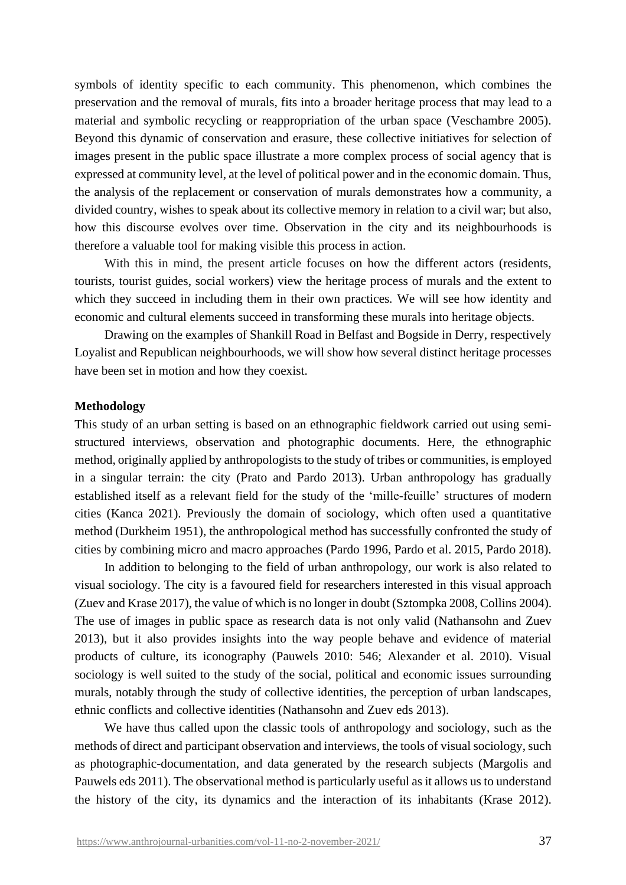symbols of identity specific to each community. This phenomenon, which combines the preservation and the removal of murals, fits into a broader heritage process that may lead to a material and symbolic recycling or reappropriation of the urban space (Veschambre 2005). Beyond this dynamic of conservation and erasure, these collective initiatives for selection of images present in the public space illustrate a more complex process of social agency that is expressed at community level, at the level of political power and in the economic domain. Thus, the analysis of the replacement or conservation of murals demonstrates how a community, a divided country, wishes to speak about its collective memory in relation to a civil war; but also, how this discourse evolves over time. Observation in the city and its neighbourhoods is therefore a valuable tool for making visible this process in action.

With this in mind, the present article focuses on how the different actors (residents, tourists, tourist guides, social workers) view the heritage process of murals and the extent to which they succeed in including them in their own practices*.* We will see how identity and economic and cultural elements succeed in transforming these murals into heritage objects.

Drawing on the examples of Shankill Road in Belfast and Bogside in Derry, respectively Loyalist and Republican neighbourhoods, we will show how several distinct heritage processes have been set in motion and how they coexist.

#### **Methodology**

This study of an urban setting is based on an ethnographic fieldwork carried out using semistructured interviews, observation and photographic documents. Here, the ethnographic method, originally applied by anthropologists to the study of tribes or communities, is employed in a singular terrain: the city (Prato and Pardo 2013). Urban anthropology has gradually established itself as a relevant field for the study of the 'mille-feuille' structures of modern cities (Kanca 2021). Previously the domain of sociology, which often used a quantitative method (Durkheim 1951), the anthropological method has successfully confronted the study of cities by combining micro and macro approaches (Pardo 1996, Pardo et al. 2015, Pardo 2018).

In addition to belonging to the field of urban anthropology, our work is also related to visual sociology. The city is a favoured field for researchers interested in this visual approach (Zuev and Krase 2017), the value of which is no longer in doubt (Sztompka 2008, Collins 2004). The use of images in public space as research data is not only valid (Nathansohn and Zuev 2013), but it also provides insights into the way people behave and evidence of material products of culture, its iconography (Pauwels 2010: 546; Alexander et al. 2010). Visual sociology is well suited to the study of the social, political and economic issues surrounding murals, notably through the study of collective identities, the perception of urban landscapes, ethnic conflicts and collective identities (Nathansohn and Zuev eds 2013).

We have thus called upon the classic tools of anthropology and sociology, such as the methods of direct and participant observation and interviews, the tools of visual sociology, such as photographic-documentation, and data generated by the research subjects (Margolis and Pauwels eds 2011). The observational method is particularly useful as it allows us to understand the history of the city, its dynamics and the interaction of its inhabitants (Krase 2012).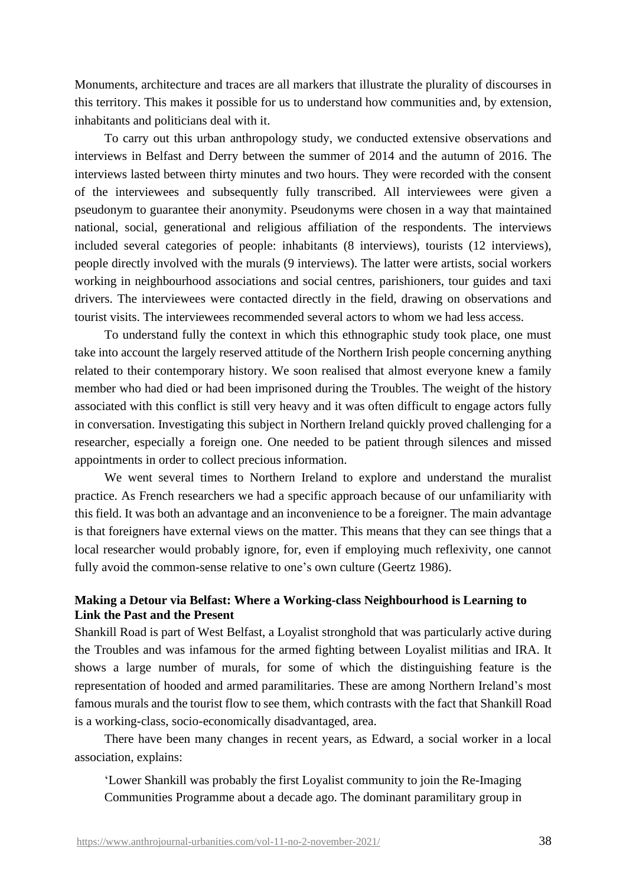Monuments, architecture and traces are all markers that illustrate the plurality of discourses in this territory. This makes it possible for us to understand how communities and, by extension, inhabitants and politicians deal with it.

To carry out this urban anthropology study, we conducted extensive observations and interviews in Belfast and Derry between the summer of 2014 and the autumn of 2016. The interviews lasted between thirty minutes and two hours. They were recorded with the consent of the interviewees and subsequently fully transcribed. All interviewees were given a pseudonym to guarantee their anonymity. Pseudonyms were chosen in a way that maintained national, social, generational and religious affiliation of the respondents. The interviews included several categories of people: inhabitants (8 interviews), tourists (12 interviews), people directly involved with the murals (9 interviews). The latter were artists, social workers working in neighbourhood associations and social centres, parishioners, tour guides and taxi drivers. The interviewees were contacted directly in the field, drawing on observations and tourist visits. The interviewees recommended several actors to whom we had less access.

To understand fully the context in which this ethnographic study took place, one must take into account the largely reserved attitude of the Northern Irish people concerning anything related to their contemporary history. We soon realised that almost everyone knew a family member who had died or had been imprisoned during the Troubles. The weight of the history associated with this conflict is still very heavy and it was often difficult to engage actors fully in conversation. Investigating this subject in Northern Ireland quickly proved challenging for a researcher, especially a foreign one. One needed to be patient through silences and missed appointments in order to collect precious information.

We went several times to Northern Ireland to explore and understand the muralist practice. As French researchers we had a specific approach because of our unfamiliarity with this field. It was both an advantage and an inconvenience to be a foreigner. The main advantage is that foreigners have external views on the matter. This means that they can see things that a local researcher would probably ignore, for, even if employing much reflexivity, one cannot fully avoid the common-sense relative to one's own culture (Geertz 1986).

## **Making a Detour via Belfast: Where a Working-class Neighbourhood is Learning to Link the Past and the Present**

Shankill Road is part of West Belfast, a Loyalist stronghold that was particularly active during the Troubles and was infamous for the armed fighting between Loyalist militias and IRA. It shows a large number of murals, for some of which the distinguishing feature is the representation of hooded and armed paramilitaries. These are among Northern Ireland's most famous murals and the tourist flow to see them, which contrasts with the fact that Shankill Road is a working-class, socio-economically disadvantaged, area.

There have been many changes in recent years, as Edward, a social worker in a local association, explains:

'Lower Shankill was probably the first Loyalist community to join the Re-Imaging Communities Programme about a decade ago. The dominant paramilitary group in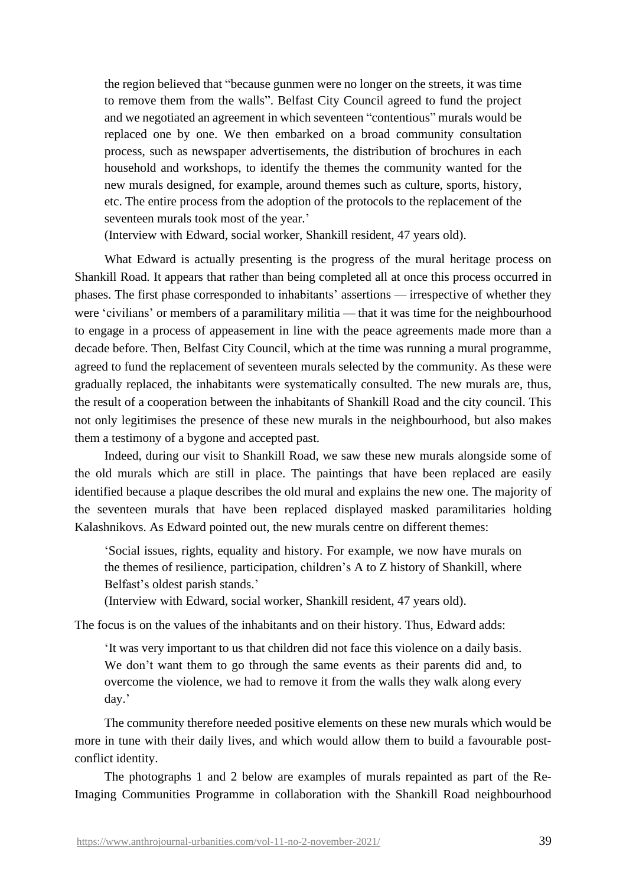the region believed that "because gunmen were no longer on the streets, it was time to remove them from the walls". Belfast City Council agreed to fund the project and we negotiated an agreement in which seventeen "contentious" murals would be replaced one by one. We then embarked on a broad community consultation process, such as newspaper advertisements, the distribution of brochures in each household and workshops, to identify the themes the community wanted for the new murals designed, for example, around themes such as culture, sports, history, etc. The entire process from the adoption of the protocols to the replacement of the seventeen murals took most of the year.'

(Interview with Edward, social worker, Shankill resident, 47 years old).

What Edward is actually presenting is the progress of the mural heritage process on Shankill Road*.* It appears that rather than being completed all at once this process occurred in phases. The first phase corresponded to inhabitants' assertions — irrespective of whether they were 'civilians' or members of a paramilitary militia — that it was time for the neighbourhood to engage in a process of appeasement in line with the peace agreements made more than a decade before. Then, Belfast City Council, which at the time was running a mural programme, agreed to fund the replacement of seventeen murals selected by the community. As these were gradually replaced, the inhabitants were systematically consulted. The new murals are, thus, the result of a cooperation between the inhabitants of Shankill Road and the city council. This not only legitimises the presence of these new murals in the neighbourhood, but also makes them a testimony of a bygone and accepted past.

Indeed, during our visit to Shankill Road, we saw these new murals alongside some of the old murals which are still in place. The paintings that have been replaced are easily identified because a plaque describes the old mural and explains the new one. The majority of the seventeen murals that have been replaced displayed masked paramilitaries holding Kalashnikovs. As Edward pointed out, the new murals centre on different themes:

'Social issues, rights, equality and history. For example, we now have murals on the themes of resilience, participation, children's A to Z history of Shankill, where Belfast's oldest parish stands.'

(Interview with Edward, social worker, Shankill resident, 47 years old).

The focus is on the values of the inhabitants and on their history. Thus, Edward adds:

'It was very important to us that children did not face this violence on a daily basis. We don't want them to go through the same events as their parents did and, to overcome the violence, we had to remove it from the walls they walk along every day.'

The community therefore needed positive elements on these new murals which would be more in tune with their daily lives, and which would allow them to build a favourable postconflict identity.

The photographs 1 and 2 below are examples of murals repainted as part of the Re-Imaging Communities Programme in collaboration with the Shankill Road neighbourhood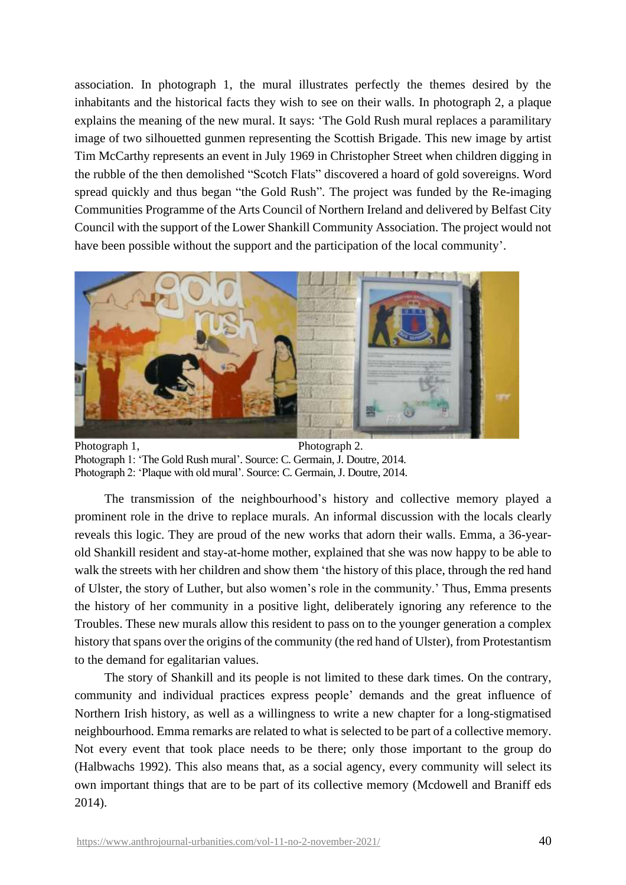association. In photograph 1, the mural illustrates perfectly the themes desired by the inhabitants and the historical facts they wish to see on their walls. In photograph 2, a plaque explains the meaning of the new mural. It says: 'The Gold Rush mural replaces a paramilitary image of two silhouetted gunmen representing the Scottish Brigade. This new image by artist Tim McCarthy represents an event in July 1969 in Christopher Street when children digging in the rubble of the then demolished "Scotch Flats" discovered a hoard of gold sovereigns. Word spread quickly and thus began "the Gold Rush". The project was funded by the Re-imaging Communities Programme of the Arts Council of Northern Ireland and delivered by Belfast City Council with the support of the Lower Shankill Community Association. The project would not have been possible without the support and the participation of the local community'.



Photograph 1, Photograph 2. Photograph 1: 'The Gold Rush mural'. Source: C. Germain, J. Doutre, 2014. Photograph 2: 'Plaque with old mural'. Source: C. Germain, J. Doutre, 2014.

The transmission of the neighbourhood's history and collective memory played a prominent role in the drive to replace murals. An informal discussion with the locals clearly reveals this logic. They are proud of the new works that adorn their walls. Emma, a 36-yearold Shankill resident and stay-at-home mother, explained that she was now happy to be able to walk the streets with her children and show them 'the history of this place, through the red hand of Ulster, the story of Luther, but also women's role in the community.' Thus, Emma presents the history of her community in a positive light, deliberately ignoring any reference to the Troubles. These new murals allow this resident to pass on to the younger generation a complex history that spans over the origins of the community (the red hand of Ulster), from Protestantism to the demand for egalitarian values.

The story of Shankill and its people is not limited to these dark times. On the contrary, community and individual practices express people' demands and the great influence of Northern Irish history, as well as a willingness to write a new chapter for a long-stigmatised neighbourhood. Emma remarks are related to what is selected to be part of a collective memory. Not every event that took place needs to be there; only those important to the group do (Halbwachs 1992). This also means that, as a social agency, every community will select its own important things that are to be part of its collective memory (Mcdowell and Braniff eds 2014).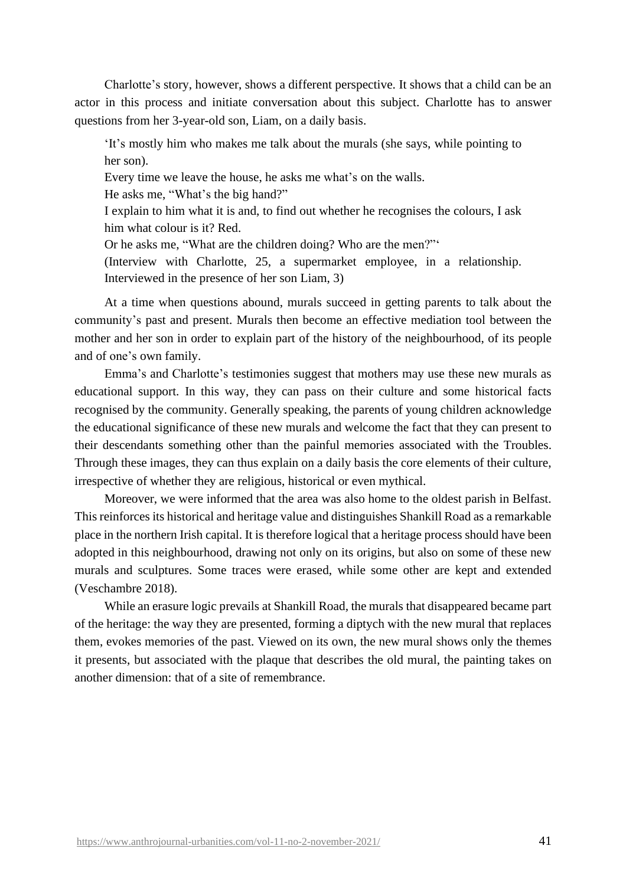Charlotte's story, however, shows a different perspective. It shows that a child can be an actor in this process and initiate conversation about this subject. Charlotte has to answer questions from her 3-year-old son, Liam, on a daily basis.

'It's mostly him who makes me talk about the murals (she says, while pointing to her son).

Every time we leave the house, he asks me what's on the walls.

He asks me, "What's the big hand?"

I explain to him what it is and, to find out whether he recognises the colours, I ask him what colour is it? Red.

Or he asks me, "What are the children doing? Who are the men?"'

(Interview with Charlotte, 25, a supermarket employee, in a relationship. Interviewed in the presence of her son Liam, 3)

At a time when questions abound, murals succeed in getting parents to talk about the community's past and present. Murals then become an effective mediation tool between the mother and her son in order to explain part of the history of the neighbourhood, of its people and of one's own family.

Emma's and Charlotte's testimonies suggest that mothers may use these new murals as educational support. In this way, they can pass on their culture and some historical facts recognised by the community. Generally speaking, the parents of young children acknowledge the educational significance of these new murals and welcome the fact that they can present to their descendants something other than the painful memories associated with the Troubles. Through these images, they can thus explain on a daily basis the core elements of their culture, irrespective of whether they are religious, historical or even mythical.

Moreover, we were informed that the area was also home to the oldest parish in Belfast. This reinforces its historical and heritage value and distinguishes Shankill Road as a remarkable place in the northern Irish capital. It is therefore logical that a heritage process should have been adopted in this neighbourhood, drawing not only on its origins, but also on some of these new murals and sculptures. Some traces were erased, while some other are kept and extended (Veschambre 2018).

While an erasure logic prevails at Shankill Road*,* the murals that disappeared became part of the heritage: the way they are presented, forming a diptych with the new mural that replaces them, evokes memories of the past. Viewed on its own, the new mural shows only the themes it presents, but associated with the plaque that describes the old mural, the painting takes on another dimension: that of a site of remembrance.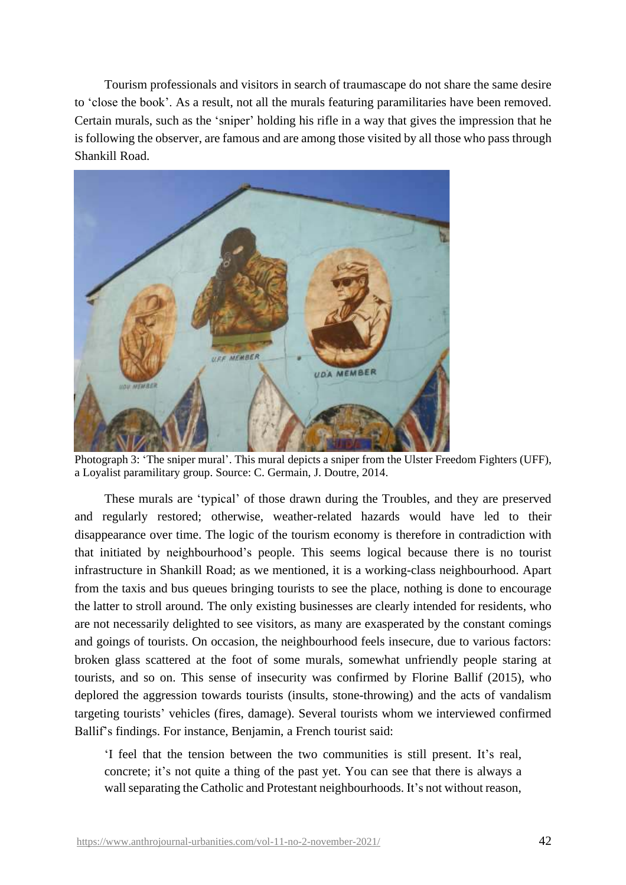Tourism professionals and visitors in search of traumascape do not share the same desire to 'close the book'. As a result, not all the murals featuring paramilitaries have been removed. Certain murals, such as the 'sniper' holding his rifle in a way that gives the impression that he is following the observer, are famous and are among those visited by all those who pass through Shankill Road.



Photograph 3: 'The sniper mural'. This mural depicts a sniper from the Ulster Freedom Fighters (UFF), a Loyalist paramilitary group. Source: C. Germain, J. Doutre, 2014.

These murals are 'typical' of those drawn during the Troubles, and they are preserved and regularly restored; otherwise, weather-related hazards would have led to their disappearance over time. The logic of the tourism economy is therefore in contradiction with that initiated by neighbourhood's people. This seems logical because there is no tourist infrastructure in Shankill Road; as we mentioned, it is a working-class neighbourhood. Apart from the taxis and bus queues bringing tourists to see the place, nothing is done to encourage the latter to stroll around. The only existing businesses are clearly intended for residents, who are not necessarily delighted to see visitors, as many are exasperated by the constant comings and goings of tourists. On occasion, the neighbourhood feels insecure, due to various factors: broken glass scattered at the foot of some murals, somewhat unfriendly people staring at tourists, and so on. This sense of insecurity was confirmed by Florine Ballif (2015), who deplored the aggression towards tourists (insults, stone-throwing) and the acts of vandalism targeting tourists' vehicles (fires, damage). Several tourists whom we interviewed confirmed Ballif's findings. For instance, Benjamin, a French tourist said:

'I feel that the tension between the two communities is still present. It's real, concrete; it's not quite a thing of the past yet. You can see that there is always a wall separating the Catholic and Protestant neighbourhoods. It's not without reason,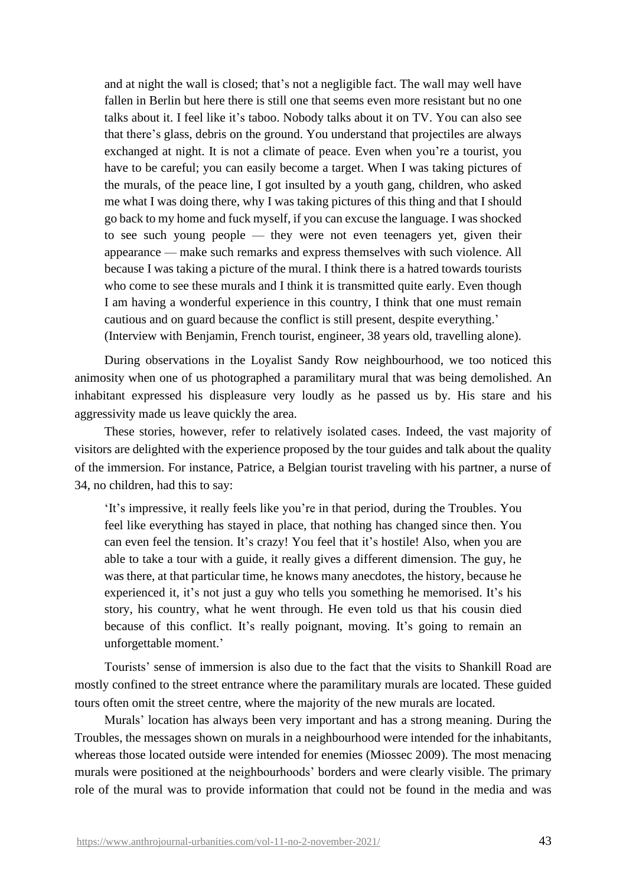and at night the wall is closed; that's not a negligible fact. The wall may well have fallen in Berlin but here there is still one that seems even more resistant but no one talks about it. I feel like it's taboo. Nobody talks about it on TV. You can also see that there's glass, debris on the ground. You understand that projectiles are always exchanged at night. It is not a climate of peace. Even when you're a tourist, you have to be careful; you can easily become a target. When I was taking pictures of the murals, of the peace line, I got insulted by a youth gang, children, who asked me what I was doing there, why I was taking pictures of this thing and that I should go back to my home and fuck myself, if you can excuse the language. I was shocked to see such young people — they were not even teenagers yet, given their appearance — make such remarks and express themselves with such violence. All because I was taking a picture of the mural. I think there is a hatred towards tourists who come to see these murals and I think it is transmitted quite early. Even though I am having a wonderful experience in this country, I think that one must remain cautious and on guard because the conflict is still present, despite everything.' (Interview with Benjamin, French tourist, engineer, 38 years old, travelling alone).

During observations in the Loyalist Sandy Row neighbourhood, we too noticed this animosity when one of us photographed a paramilitary mural that was being demolished. An inhabitant expressed his displeasure very loudly as he passed us by. His stare and his aggressivity made us leave quickly the area.

These stories, however, refer to relatively isolated cases. Indeed, the vast majority of visitors are delighted with the experience proposed by the tour guides and talk about the quality of the immersion. For instance, Patrice, a Belgian tourist traveling with his partner, a nurse of 34, no children, had this to say:

'It's impressive, it really feels like you're in that period, during the Troubles. You feel like everything has stayed in place, that nothing has changed since then. You can even feel the tension. It's crazy! You feel that it's hostile! Also, when you are able to take a tour with a guide, it really gives a different dimension. The guy, he was there, at that particular time, he knows many anecdotes, the history, because he experienced it, it's not just a guy who tells you something he memorised. It's his story, his country, what he went through. He even told us that his cousin died because of this conflict. It's really poignant, moving. It's going to remain an unforgettable moment.'

Tourists' sense of immersion is also due to the fact that the visits to Shankill Road are mostly confined to the street entrance where the paramilitary murals are located. These guided tours often omit the street centre, where the majority of the new murals are located.

Murals' location has always been very important and has a strong meaning. During the Troubles, the messages shown on murals in a neighbourhood were intended for the inhabitants, whereas those located outside were intended for enemies (Miossec 2009). The most menacing murals were positioned at the neighbourhoods' borders and were clearly visible. The primary role of the mural was to provide information that could not be found in the media and was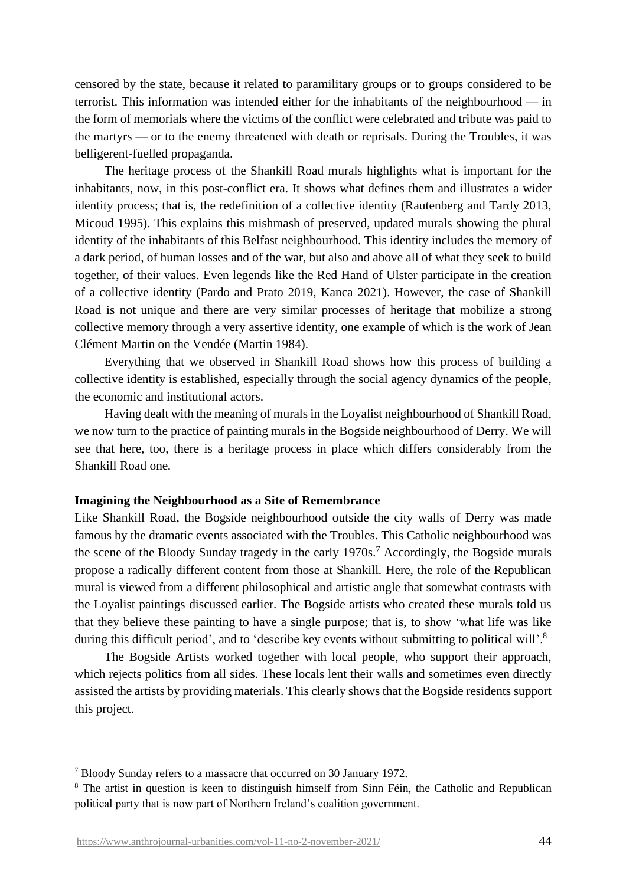censored by the state, because it related to paramilitary groups or to groups considered to be terrorist. This information was intended either for the inhabitants of the neighbourhood — in the form of memorials where the victims of the conflict were celebrated and tribute was paid to the martyrs — or to the enemy threatened with death or reprisals. During the Troubles, it was belligerent-fuelled propaganda.

The heritage process of the Shankill Road murals highlights what is important for the inhabitants, now, in this post-conflict era. It shows what defines them and illustrates a wider identity process; that is, the redefinition of a collective identity (Rautenberg and Tardy 2013, Micoud 1995). This explains this mishmash of preserved, updated murals showing the plural identity of the inhabitants of this Belfast neighbourhood. This identity includes the memory of a dark period, of human losses and of the war, but also and above all of what they seek to build together, of their values. Even legends like the Red Hand of Ulster participate in the creation of a collective identity (Pardo and Prato 2019, Kanca 2021). However, the case of Shankill Road is not unique and there are very similar processes of heritage that mobilize a strong collective memory through a very assertive identity, one example of which is the work of Jean Clément Martin on the Vendée (Martin 1984).

Everything that we observed in Shankill Road shows how this process of building a collective identity is established, especially through the social agency dynamics of the people, the economic and institutional actors.

Having dealt with the meaning of murals in the Loyalist neighbourhood of Shankill Road, we now turn to the practice of painting murals in the Bogside neighbourhood of Derry. We will see that here, too, there is a heritage process in place which differs considerably from the Shankill Road one*.* 

### **Imagining the Neighbourhood as a Site of Remembrance**

Like Shankill Road, the Bogside neighbourhood outside the city walls of Derry was made famous by the dramatic events associated with the Troubles. This Catholic neighbourhood was the scene of the Bloody Sunday tragedy in the early 1970s.<sup>7</sup> Accordingly, the Bogside murals propose a radically different content from those at Shankill*.* Here, the role of the Republican mural is viewed from a different philosophical and artistic angle that somewhat contrasts with the Loyalist paintings discussed earlier. The Bogside artists who created these murals told us that they believe these painting to have a single purpose; that is, to show 'what life was like during this difficult period', and to 'describe key events without submitting to political will'.<sup>8</sup>

The Bogside Artists worked together with local people, who support their approach, which rejects politics from all sides. These locals lent their walls and sometimes even directly assisted the artists by providing materials. This clearly shows that the Bogside residents support this project.

<sup>&</sup>lt;sup>7</sup> Bloody Sunday refers to a massacre that occurred on 30 January 1972.

<sup>&</sup>lt;sup>8</sup> The artist in question is keen to distinguish himself from Sinn Féin, the Catholic and Republican political party that is now part of Northern Ireland's coalition government.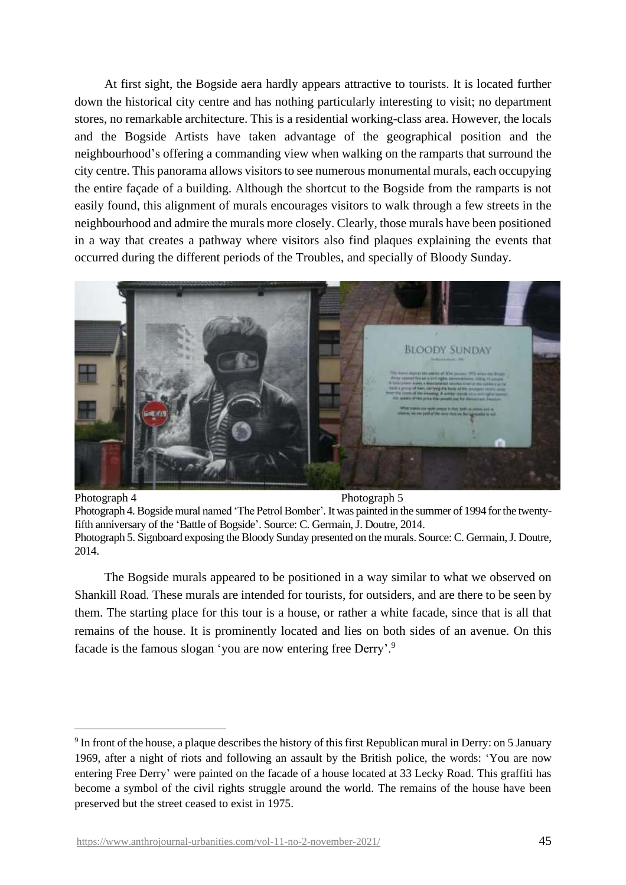At first sight, the Bogside aera hardly appears attractive to tourists. It is located further down the historical city centre and has nothing particularly interesting to visit; no department stores, no remarkable architecture. This is a residential working-class area. However, the locals and the Bogside Artists have taken advantage of the geographical position and the neighbourhood's offering a commanding view when walking on the ramparts that surround the city centre. This panorama allows visitors to see numerous monumental murals, each occupying the entire façade of a building. Although the shortcut to the Bogside from the ramparts is not easily found, this alignment of murals encourages visitors to walk through a few streets in the neighbourhood and admire the murals more closely. Clearly, those murals have been positioned in a way that creates a pathway where visitors also find plaques explaining the events that occurred during the different periods of the Troubles, and specially of Bloody Sunday.



Photograph 4 Photograph 5 Photograph 4. Bogside mural named 'The Petrol Bomber'*.* It was painted in the summer of 1994 for the twentyfifth anniversary of the 'Battle of Bogside'. Source: C. Germain, J. Doutre, 2014. Photograph 5. Signboard exposing the Bloody Sunday presented on the murals. Source: C. Germain, J. Doutre, 2014.

The Bogside murals appeared to be positioned in a way similar to what we observed on Shankill Road*.* These murals are intended for tourists, for outsiders, and are there to be seen by them. The starting place for this tour is a house, or rather a white facade, since that is all that remains of the house. It is prominently located and lies on both sides of an avenue. On this facade is the famous slogan 'you are now entering free Derry'.<sup>9</sup>

<sup>&</sup>lt;sup>9</sup> In front of the house, a plaque describes the history of this first Republican mural in Derry: on 5 January 1969, after a night of riots and following an assault by the British police, the words: 'You are now entering Free Derry' were painted on the facade of a house located at 33 Lecky Road. This graffiti has become a symbol of the civil rights struggle around the world. The remains of the house have been preserved but the street ceased to exist in 1975.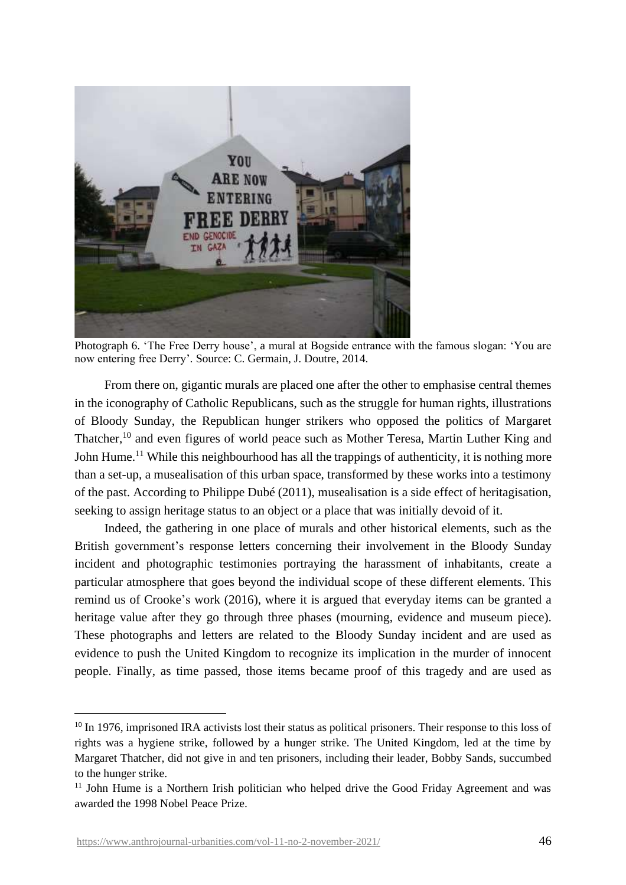

Photograph 6. 'The Free Derry house', a mural at Bogside entrance with the famous slogan: 'You are now entering free Derry'*.* Source: C. Germain, J. Doutre, 2014.

From there on, gigantic murals are placed one after the other to emphasise central themes in the iconography of Catholic Republicans, such as the struggle for human rights, illustrations of Bloody Sunday, the Republican hunger strikers who opposed the politics of Margaret Thatcher,<sup>10</sup> and even figures of world peace such as Mother Teresa, Martin Luther King and John Hume.<sup>11</sup> While this neighbourhood has all the trappings of authenticity, it is nothing more than a set-up, a musealisation of this urban space, transformed by these works into a testimony of the past. According to Philippe Dubé (2011), musealisation is a side effect of heritagisation, seeking to assign heritage status to an object or a place that was initially devoid of it.

Indeed, the gathering in one place of murals and other historical elements, such as the British government's response letters concerning their involvement in the Bloody Sunday incident and photographic testimonies portraying the harassment of inhabitants, create a particular atmosphere that goes beyond the individual scope of these different elements. This remind us of Crooke's work (2016), where it is argued that everyday items can be granted a heritage value after they go through three phases (mourning, evidence and museum piece). These photographs and letters are related to the Bloody Sunday incident and are used as evidence to push the United Kingdom to recognize its implication in the murder of innocent people. Finally, as time passed, those items became proof of this tragedy and are used as

<sup>&</sup>lt;sup>10</sup> In 1976, imprisoned IRA activists lost their status as political prisoners. Their response to this loss of rights was a hygiene strike, followed by a hunger strike. The United Kingdom, led at the time by Margaret Thatcher, did not give in and ten prisoners, including their leader, Bobby Sands, succumbed to the hunger strike.

 $11$  John Hume is a Northern Irish politician who helped drive the Good Friday Agreement and was awarded the 1998 Nobel Peace Prize.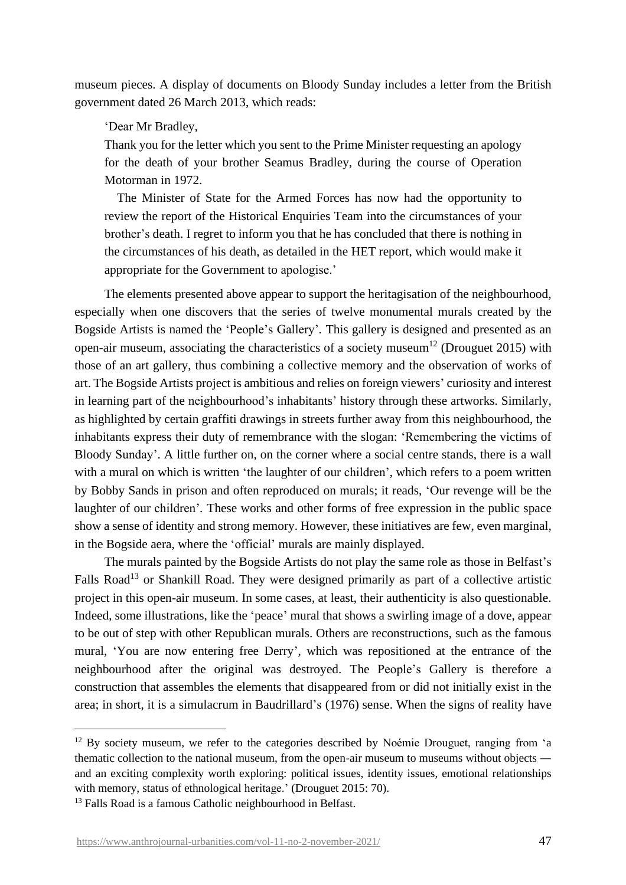museum pieces. A display of documents on Bloody Sunday includes a letter from the British government dated 26 March 2013, which reads:

'Dear Mr Bradley,

Thank you for the letter which you sent to the Prime Minister requesting an apology for the death of your brother Seamus Bradley, during the course of Operation Motorman in 1972.

 The Minister of State for the Armed Forces has now had the opportunity to review the report of the Historical Enquiries Team into the circumstances of your brother's death. I regret to inform you that he has concluded that there is nothing in the circumstances of his death, as detailed in the HET report, which would make it appropriate for the Government to apologise.'

The elements presented above appear to support the heritagisation of the neighbourhood, especially when one discovers that the series of twelve monumental murals created by the Bogside Artists is named the 'People's Gallery'*.* This gallery is designed and presented as an open-air museum, associating the characteristics of a society museum<sup>12</sup> (Drouguet 2015) with those of an art gallery, thus combining a collective memory and the observation of works of art. The Bogside Artists project is ambitious and relies on foreign viewers' curiosity and interest in learning part of the neighbourhood's inhabitants' history through these artworks. Similarly, as highlighted by certain graffiti drawings in streets further away from this neighbourhood, the inhabitants express their duty of remembrance with the slogan: 'Remembering the victims of Bloody Sunday'. A little further on, on the corner where a social centre stands, there is a wall with a mural on which is written 'the laughter of our children', which refers to a poem written by Bobby Sands in prison and often reproduced on murals; it reads, 'Our revenge will be the laughter of our children'*.* These works and other forms of free expression in the public space show a sense of identity and strong memory. However, these initiatives are few, even marginal, in the Bogside aera, where the 'official' murals are mainly displayed.

The murals painted by the Bogside Artists do not play the same role as those in Belfast's Falls Road<sup>13</sup> or Shankill Road. They were designed primarily as part of a collective artistic project in this open-air museum. In some cases, at least, their authenticity is also questionable. Indeed, some illustrations, like the 'peace' mural that shows a swirling image of a dove, appear to be out of step with other Republican murals. Others are reconstructions, such as the famous mural, 'You are now entering free Derry', which was repositioned at the entrance of the neighbourhood after the original was destroyed. The People's Gallery is therefore a construction that assembles the elements that disappeared from or did not initially exist in the area; in short, it is a simulacrum in Baudrillard's (1976) sense. When the signs of reality have

 $12$  By society museum, we refer to the categories described by Noémie Drouguet, ranging from 'a thematic collection to the national museum, from the open-air museum to museums without objects and an exciting complexity worth exploring: political issues, identity issues, emotional relationships with memory, status of ethnological heritage.' (Drouguet 2015: 70).

<sup>&</sup>lt;sup>13</sup> Falls Road is a famous Catholic neighbourhood in Belfast.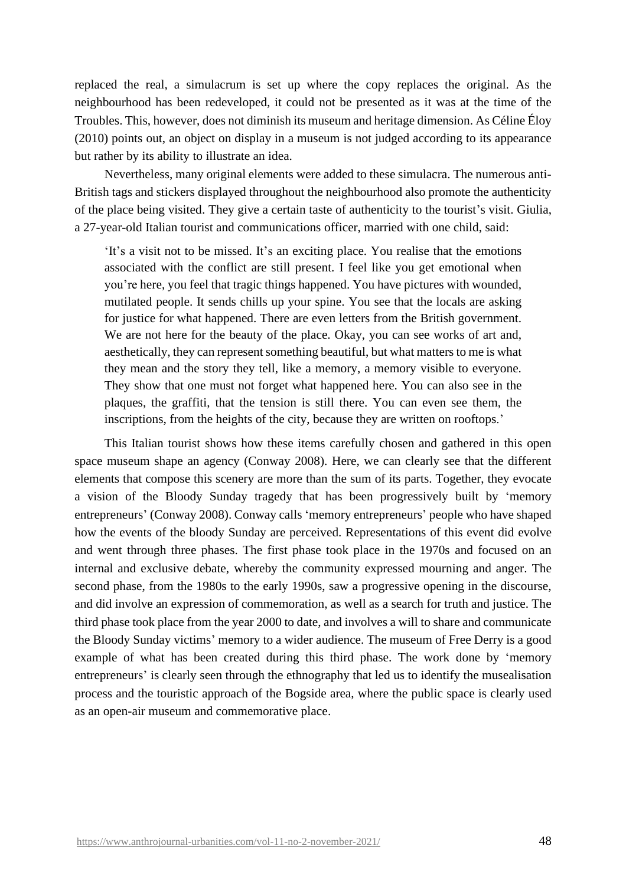replaced the real, a simulacrum is set up where the copy replaces the original. As the neighbourhood has been redeveloped, it could not be presented as it was at the time of the Troubles. This, however, does not diminish its museum and heritage dimension. As Céline Éloy (2010) points out, an object on display in a museum is not judged according to its appearance but rather by its ability to illustrate an idea.

Nevertheless, many original elements were added to these simulacra. The numerous anti-British tags and stickers displayed throughout the neighbourhood also promote the authenticity of the place being visited. They give a certain taste of authenticity to the tourist's visit. Giulia, a 27-year-old Italian tourist and communications officer, married with one child, said:

'It's a visit not to be missed. It's an exciting place. You realise that the emotions associated with the conflict are still present. I feel like you get emotional when you're here, you feel that tragic things happened. You have pictures with wounded, mutilated people. It sends chills up your spine. You see that the locals are asking for justice for what happened. There are even letters from the British government. We are not here for the beauty of the place. Okay, you can see works of art and, aesthetically, they can represent something beautiful, but what matters to me is what they mean and the story they tell, like a memory, a memory visible to everyone. They show that one must not forget what happened here. You can also see in the plaques, the graffiti, that the tension is still there. You can even see them, the inscriptions, from the heights of the city, because they are written on rooftops.'

This Italian tourist shows how these items carefully chosen and gathered in this open space museum shape an agency (Conway 2008). Here, we can clearly see that the different elements that compose this scenery are more than the sum of its parts. Together, they evocate a vision of the Bloody Sunday tragedy that has been progressively built by 'memory entrepreneurs' (Conway 2008). Conway calls 'memory entrepreneurs' people who have shaped how the events of the bloody Sunday are perceived. Representations of this event did evolve and went through three phases. The first phase took place in the 1970s and focused on an internal and exclusive debate, whereby the community expressed mourning and anger. The second phase, from the 1980s to the early 1990s, saw a progressive opening in the discourse, and did involve an expression of commemoration, as well as a search for truth and justice. The third phase took place from the year 2000 to date, and involves a will to share and communicate the Bloody Sunday victims' memory to a wider audience. The museum of Free Derry is a good example of what has been created during this third phase. The work done by 'memory entrepreneurs' is clearly seen through the ethnography that led us to identify the musealisation process and the touristic approach of the Bogside area, where the public space is clearly used as an open-air museum and commemorative place.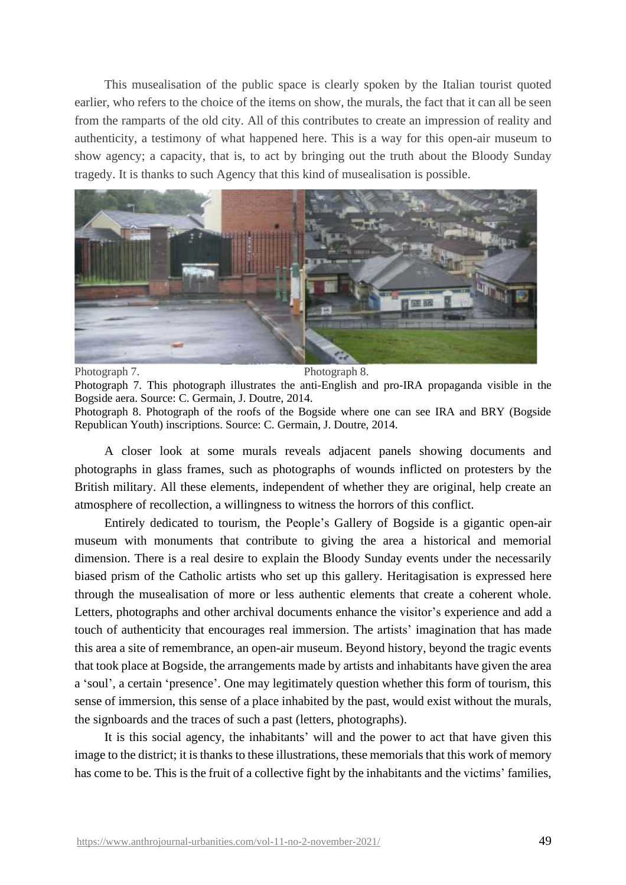This musealisation of the public space is clearly spoken by the Italian tourist quoted earlier, who refers to the choice of the items on show, the murals, the fact that it can all be seen from the ramparts of the old city. All of this contributes to create an impression of reality and authenticity, a testimony of what happened here. This is a way for this open-air museum to show agency; a capacity, that is, to act by bringing out the truth about the Bloody Sunday tragedy. It is thanks to such Agency that this kind of musealisation is possible.



Photograph 7. Photograph 8. Photograph 7. This photograph illustrates the anti-English and pro-IRA propaganda visible in the Bogside aera. Source: C. Germain, J. Doutre, 2014. Photograph 8. Photograph of the roofs of the Bogside where one can see IRA and BRY (Bogside Republican Youth) inscriptions. Source: C. Germain, J. Doutre, 2014.

A closer look at some murals reveals adjacent panels showing documents and photographs in glass frames, such as photographs of wounds inflicted on protesters by the British military. All these elements, independent of whether they are original, help create an atmosphere of recollection, a willingness to witness the horrors of this conflict.

Entirely dedicated to tourism, the People's Gallery of Bogside is a gigantic open-air museum with monuments that contribute to giving the area a historical and memorial dimension. There is a real desire to explain the Bloody Sunday events under the necessarily biased prism of the Catholic artists who set up this gallery. Heritagisation is expressed here through the musealisation of more or less authentic elements that create a coherent whole. Letters, photographs and other archival documents enhance the visitor's experience and add a touch of authenticity that encourages real immersion. The artists' imagination that has made this area a site of remembrance, an open-air museum. Beyond history, beyond the tragic events that took place at Bogside, the arrangements made by artists and inhabitants have given the area a 'soul', a certain 'presence'. One may legitimately question whether this form of tourism, this sense of immersion, this sense of a place inhabited by the past, would exist without the murals, the signboards and the traces of such a past (letters, photographs).

It is this social agency, the inhabitants' will and the power to act that have given this image to the district; it is thanks to these illustrations, these memorials that this work of memory has come to be. This is the fruit of a collective fight by the inhabitants and the victims' families,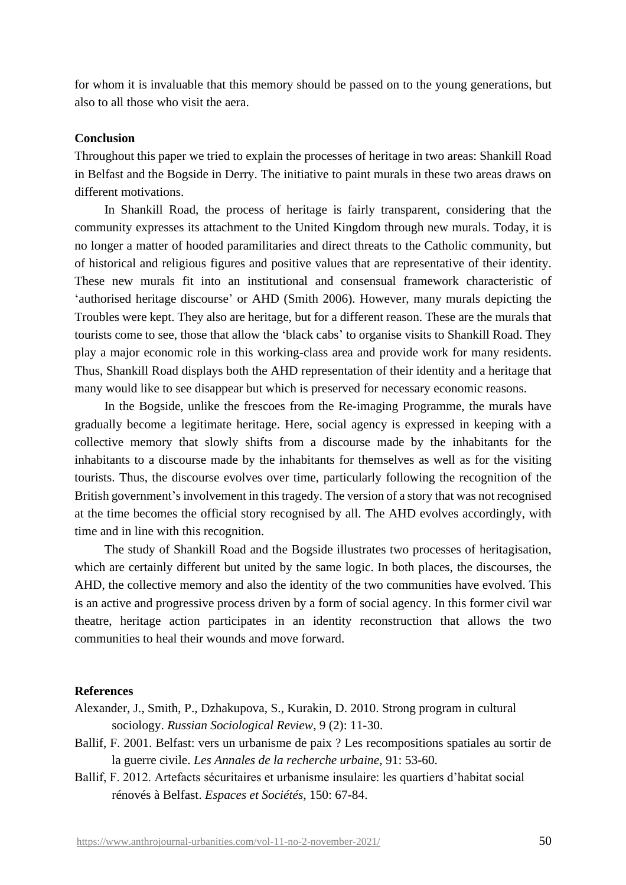for whom it is invaluable that this memory should be passed on to the young generations, but also to all those who visit the aera.

### **Conclusion**

Throughout this paper we tried to explain the processes of heritage in two areas: Shankill Road in Belfast and the Bogside in Derry. The initiative to paint murals in these two areas draws on different motivations.

In Shankill Road, the process of heritage is fairly transparent, considering that the community expresses its attachment to the United Kingdom through new murals. Today, it is no longer a matter of hooded paramilitaries and direct threats to the Catholic community, but of historical and religious figures and positive values that are representative of their identity. These new murals fit into an institutional and consensual framework characteristic of 'authorised heritage discourse' or AHD (Smith 2006). However, many murals depicting the Troubles were kept. They also are heritage, but for a different reason. These are the murals that tourists come to see, those that allow the 'black cabs' to organise visits to Shankill Road. They play a major economic role in this working-class area and provide work for many residents. Thus, Shankill Road displays both the AHD representation of their identity and a heritage that many would like to see disappear but which is preserved for necessary economic reasons.

In the Bogside, unlike the frescoes from the Re-imaging Programme, the murals have gradually become a legitimate heritage. Here, social agency is expressed in keeping with a collective memory that slowly shifts from a discourse made by the inhabitants for the inhabitants to a discourse made by the inhabitants for themselves as well as for the visiting tourists. Thus, the discourse evolves over time, particularly following the recognition of the British government's involvement in this tragedy. The version of a story that was not recognised at the time becomes the official story recognised by all. The AHD evolves accordingly, with time and in line with this recognition.

The study of Shankill Road and the Bogside illustrates two processes of heritagisation, which are certainly different but united by the same logic. In both places, the discourses, the AHD, the collective memory and also the identity of the two communities have evolved. This is an active and progressive process driven by a form of social agency. In this former civil war theatre, heritage action participates in an identity reconstruction that allows the two communities to heal their wounds and move forward.

### **References**

- Alexander, J., Smith, P., Dzhakupova, S., Kurakin, D. 2010. Strong program in cultural sociology. *Russian Sociological Review*, 9 (2): 11-30.
- Ballif, F. 2001. Belfast: vers un urbanisme de paix ? Les recompositions spatiales au sortir de la guerre civile. *Les Annales de la recherche urbaine*, 91: 53-60.
- Ballif, F. 2012. Artefacts ścuritaires et urbanisme insulaire: les quartiers d'habitat social rénovés à Belfast. *Espaces et Sociétés*, 150: 67-84.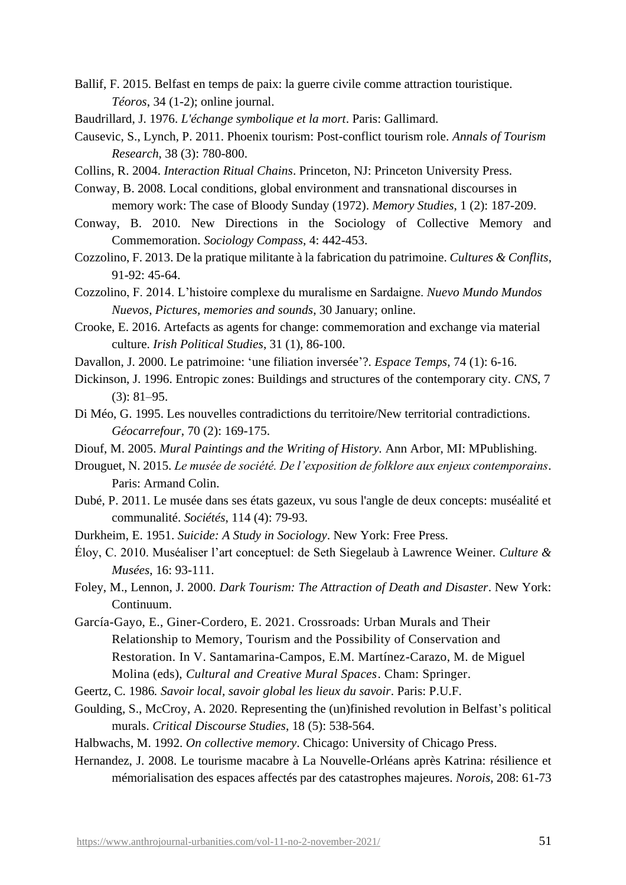Ballif, F. 2015. Belfast en temps de paix: la guerre civile comme attraction touristique. *Téoros*, 34 (1-2); online journal.

- Baudrillard, J. 1976. *L'échange symbolique et la mort*. Paris: Gallimard.
- Causevic, S., Lynch, P. 2011. Phoenix tourism: Post-conflict tourism role. *Annals of Tourism Research*, 38 (3): 780-800.
- Collins, R. 2004. *Interaction Ritual Chains*. Princeton, NJ: Princeton University Press.
- Conway, B. 2008. Local conditions, global environment and transnational discourses in memory work: The case of Bloody Sunday (1972). *Memory Studies*, 1 (2): 187-209.
- Conway, B. 2010. New Directions in the Sociology of Collective Memory and Commemoration. *Sociology Compass*, 4: 442-453.
- Cozzolino, F. 2013. De la pratique militante à la fabrication du patrimoine. *Cultures & Conflits*, 91-92: 45-64.
- Cozzolino, F. 2014. L'histoire complexe du muralisme en Sardaigne. *Nuevo Mundo Mundos Nuevos*, *Pictures, memories and sounds*, 30 January; online.
- Crooke, E. 2016. Artefacts as agents for change: commemoration and exchange via material culture. *Irish Political Studies*, 31 (1), 86-100.
- Davallon, J. 2000. Le patrimoine: 'une filiation inversée'?. *Espace Temps*, 74 (1): 6-16.
- Dickinson, J. 1996. Entropic zones: Buildings and structures of the contemporary city. *CNS*, 7 (3): 81–95.
- Di Méo, G. 1995. Les nouvelles contradictions du territoire/New territorial contradictions. *Géocarrefour*, 70 (2): 169-175.
- Diouf, M. 2005. *Mural Paintings and the Writing of History.* Ann Arbor, MI: MPublishing.
- Drouguet, N. 2015. *Le musée de société. De l'exposition de folklore aux enjeux contemporains*. Paris: Armand Colin.
- Dubé, P. 2011. Le musée dans ses états gazeux, vu sous l'angle de deux concepts: muséalité et communalité. *Sociétés*, 114 (4): 79-93.
- Durkheim, E. 1951. *Suicide: A Study in Sociology*. New York: Free Press.
- Éloy, C. 2010. Muśaliser l'art conceptuel: de Seth Siegelaub à Lawrence Weiner. *Culture & Musées*, 16: 93-111.
- Foley, M., Lennon, J. 2000. *Dark Tourism: The Attraction of Death and Disaster*. New York: Continuum.
- García-Gayo, E., Giner-Cordero, E. 2021. Crossroads: Urban Murals and Their Relationship to Memory, Tourism and the Possibility of Conservation and Restoration. In V. Santamarina-Campos, E.M. Martínez-Carazo, M. de Miguel Molina (eds), *Cultural and Creative Mural Spaces*. Cham: Springer.
- Geertz, C*.* 1986*. Savoir local, savoir global les lieux du savoir*. Paris: P.U.F.
- Goulding, S., McCroy, A. 2020. Representing the (un)finished revolution in Belfast's political murals. *Critical Discourse Studies*, 18 (5): 538-564.
- Halbwachs, M. 1992. *On collective memory*. Chicago: University of Chicago Press.
- Hernandez, J. 2008. Le tourisme macabre à La Nouvelle-Orléans après Katrina: résilience et mémorialisation des espaces affectés par des catastrophes majeures. *Norois*, 208: 61-73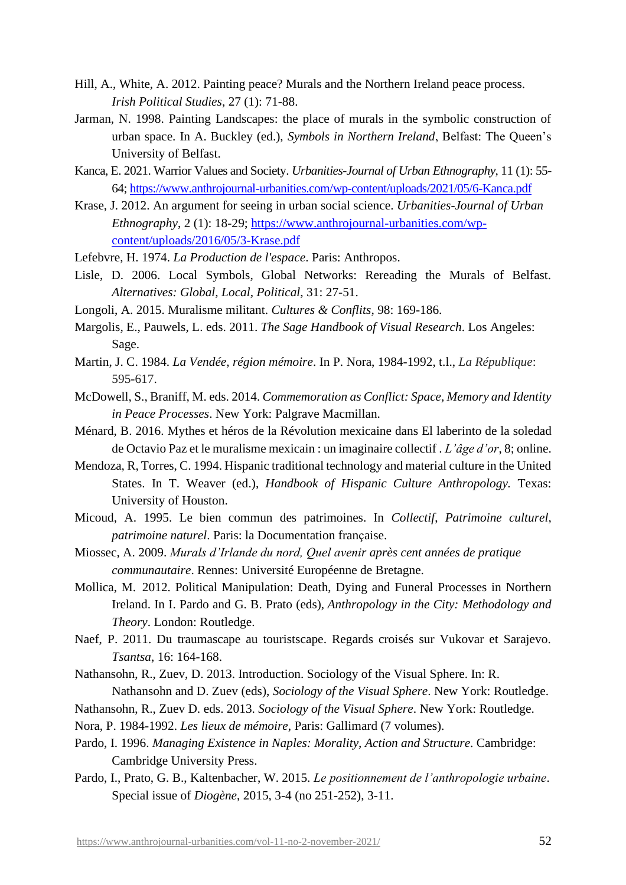- Hill, A., White, A. 2012. Painting peace? Murals and the Northern Ireland peace process. *Irish Political Studies*, 27 (1): 71-88.
- Jarman, N. 1998. Painting Landscapes: the place of murals in the symbolic construction of urban space. In A. Buckley (ed.), *Symbols in Northern Ireland*, Belfast: The Queen's University of Belfast.
- Kanca, E. 2021. Warrior Values and Society. *Urbanities-Journal of Urban Ethnography*, 11 (1): 55- 64;<https://www.anthrojournal-urbanities.com/wp-content/uploads/2021/05/6-Kanca.pdf>
- Krase, J. 2012. An argument for seeing in urban social science. *Urbanities-Journal of Urban Ethnography*, 2 (1): 18-29; [https://www.anthrojournal-urbanities.com/wp](https://www.anthrojournal-urbanities.com/wp-content/uploads/2016/05/3-Krase.pdf)[content/uploads/2016/05/3-Krase.pdf](https://www.anthrojournal-urbanities.com/wp-content/uploads/2016/05/3-Krase.pdf)
- Lefebvre, H. 1974. *La Production de l'espace*. Paris: Anthropos.
- Lisle, D. 2006. Local Symbols, Global Networks: Rereading the Murals of Belfast. *Alternatives: Global, Local, Political*, 31: 27-51.
- Longoli, A. 2015. Muralisme militant. *Cultures & Conflits*, 98: 169-186.
- Margolis, E., Pauwels, L. eds. 2011. *The Sage Handbook of Visual Research*. Los Angeles: Sage.
- Martin, J. C. 1984. *La Vendée, région mémoire*. In P. Nora, 1984-1992, t.l., *La République*: 595-617.
- McDowell, S., Braniff, M. eds. 2014. *Commemoration as Conflict: Space, Memory and Identity in Peace Processes*. New York: Palgrave Macmillan.
- Ménard, B. 2016. Mythes et héros de la Révolution mexicaine dans El laberinto de la soledad de Octavio Paz et le muralisme mexicain : un imaginaire collectif . *L'âge d'or*, 8; online.
- Mendoza, R, Torres, C. 1994. Hispanic traditional technology and material culture in the United States. In T. Weaver (ed.), *Handbook of Hispanic Culture Anthropology.* Texas: University of Houston.
- Micoud, A. 1995. Le bien commun des patrimoines. In *Collectif*, *Patrimoine culturel*, *patrimoine naturel*. Paris: la Documentation française.
- Miossec, A. 2009. *Murals d'Irlande du nord, Quel avenir après cent années de pratique communautaire*. Rennes: Université Européenne de Bretagne.
- Mollica, M. 2012. Political Manipulation: Death, Dying and Funeral Processes in Northern Ireland. In I. Pardo and G. B. Prato (eds), *Anthropology in the City: Methodology and Theory*. London: Routledge.
- Naef, P. 2011. Du traumascape au touristscape. Regards croisés sur Vukovar et Sarajevo. *Tsantsa*, 16: 164-168.
- Nathansohn, R., Zuev, D. 2013. Introduction. Sociology of the Visual Sphere. In: R. Nathansohn and D. Zuev (eds), *Sociology of the Visual Sphere*. New York: Routledge.
- Nathansohn, R., Zuev D. eds. 2013. *Sociology of the Visual Sphere*. New York: Routledge.
- Nora, P. 1984-1992. *Les lieux de mémoire*, Paris: Gallimard (7 volumes).
- Pardo, I. 1996. *Managing Existence in Naples: Morality, Action and Structure*. Cambridge: Cambridge University Press.
- Pardo, I., Prato, G. B., Kaltenbacher, W. 2015. *Le positionnement de l'anthropologie urbaine*. Special issue of *Diogène*, 2015, 3-4 (no 251-252), 3-11.